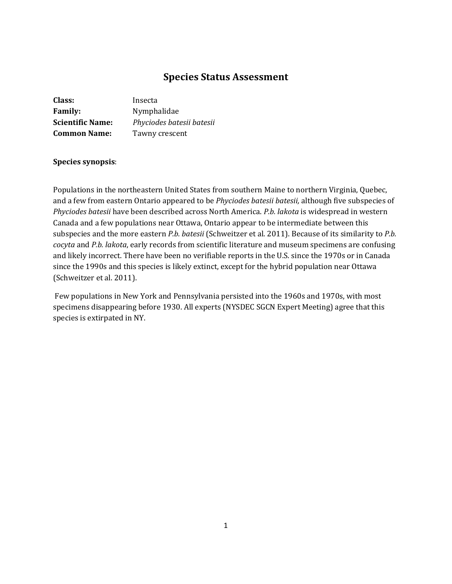# **Species Status Assessment**

| Class:                  | Insecta                   |
|-------------------------|---------------------------|
| <b>Family:</b>          | Nymphalidae               |
| <b>Scientific Name:</b> | Phyciodes batesii batesii |
| <b>Common Name:</b>     | Tawny crescent            |

### **Species synopsis**:

Populations in the northeastern United States from southern Maine to northern Virginia, Quebec, and a few from eastern Ontario appeared to be *Phyciodes batesii batesii,* although five subspecies of *Phyciodes batesii* have been described across North America. *P.b. lakota* is widespread in western Canada and a few populations near Ottawa, Ontario appear to be intermediate between this subspecies and the more eastern *P.b. batesii* (Schweitzer et al. 2011). Because of its similarity to *P.b. cocyta* and *P.b. lakota*, early records from scientific literature and museum specimens are confusing and likely incorrect. There have been no verifiable reports in the U.S. since the 1970s or in Canada since the 1990s and this species is likely extinct, except for the hybrid population near Ottawa (Schweitzer et al. 2011).

Few populations in New York and Pennsylvania persisted into the 1960s and 1970s, with most specimens disappearing before 1930. All experts (NYSDEC SGCN Expert Meeting) agree that this species is extirpated in NY.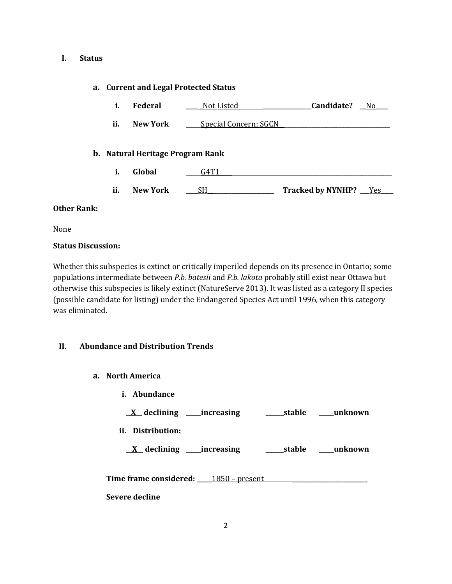#### **I. Status**

### **a. Current and Legal Protected Status**

- **i. Federal \_\_\_\_ \_**Not Listed **\_\_\_\_\_\_\_\_\_\_\_\_\_\_\_\_Candidate? \_\_**No**\_\_\_\_**
- **ii. New York \_\_\_\_** Special Concern; SGCN

#### **b. Natural Heritage Program Rank**

- **i. Global \_\_\_\_\_**G4T1 **\_\_\_\_\_\_\_\_\_\_\_\_\_\_\_\_\_\_\_\_\_\_\_\_\_\_\_\_\_\_\_\_\_\_\_\_\_\_\_\_\_\_\_\_\_\_\_\_\_\_\_\_\_**
- **ii. New York** <u>\_\_\_\_SH\_\_\_\_\_\_\_\_\_\_\_\_\_\_\_\_\_\_\_\_</u> Tracked by NYNHP? \_\_\_<u>Yes</u>

#### **Other Rank:**

None

#### **Status Discussion:**

Whether this subspecies is extinct or critically imperiled depends on its presence in Ontario; some populations intermediate between *P.b. batesii* and *P.b. lakota* probably still exist near Ottawa but otherwise this subspecies is likely extinct (NatureServe 2013). It was listed as a category II species (possible candidate for listing) under the Endangered Species Act until 1996, when this category was eliminated.

## **II. Abundance and Distribution Trends**

- **a. North America**
	- **i. Abundance**

| <u>X</u> declining _____increasing        |                        | stable | unknown |
|-------------------------------------------|------------------------|--------|---------|
| ii. Distribution:                         |                        |        |         |
| $\underline{X}$ declining _____increasing |                        | stable | unknown |
| <b>Time frame considered:</b>             | <u> 1850 – present</u> |        |         |

**Severe decline**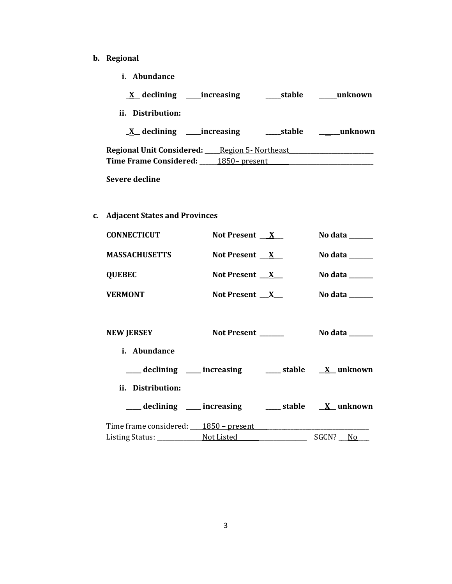- **b. Regional**
	- **i. Abundance**

| <u>X</u> declining<br>increasing   | stable                      | unknown  |
|------------------------------------|-----------------------------|----------|
| Distribution:<br>Ħ.                |                             |          |
| $X$ declining<br><i>increasing</i> | stable                      | _unknown |
| Regional Unit Considered:          | <u> Region 5- Northeast</u> |          |

**Time Frame Considered: \_\_\_\_\_\_**1850– present **\_\_\_\_\_\_\_\_\_\_\_\_\_\_\_\_\_\_\_\_\_\_\_\_\_\_\_\_**

**Severe decline**

**c. Adjacent States and Provinces**

| <b>CONNECTICUT</b>   | Not Present $X_{-}$                                              | No data $\_\_\_\_\_\_\_\_\_\_\_\_\$        |
|----------------------|------------------------------------------------------------------|--------------------------------------------|
| <b>MASSACHUSETTS</b> | Not Present $X$                                                  | No data $\_\_\_\_\_\_\_\_\_\_\_\_\_\_\_\_$ |
| <b>QUEBEC</b>        | Not Present $X_{-}$                                              | No data ______                             |
| <b>VERMONT</b>       | Not Present $X$                                                  | No data $\_\_\_\_\_\_\_\_\_\_\_\$          |
|                      |                                                                  |                                            |
| <b>NEW JERSEY</b>    | Not Present ______                                               | No data $\_\_\_\_\_\_\_\_\_\_\_\_\_\_\_\_$ |
| <i>i.</i> Abundance  |                                                                  |                                            |
|                      | ___ declining ___ increasing ___ stable __ X_ unknown            |                                            |
| ii. Distribution:    |                                                                  |                                            |
|                      | ____ declining ____ increasing _____ stable __ <u>X</u> _unknown |                                            |
|                      | Time frame considered: 1850 – present                            |                                            |
|                      | Listing Status: Not Listed North States Communist Professor      | SGCN? No                                   |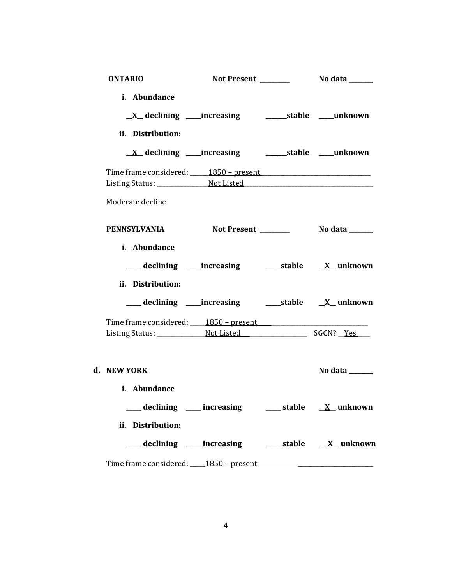| <b>ONTARIO</b>                                                                |  |                       |  |
|-------------------------------------------------------------------------------|--|-----------------------|--|
| i. Abundance                                                                  |  |                       |  |
| ii. Distribution:                                                             |  |                       |  |
| <u>X</u> declining ____increasing ___________stable ____unknown               |  |                       |  |
|                                                                               |  |                       |  |
| Moderate decline                                                              |  |                       |  |
| <b>PENNSYLVANIA</b>                                                           |  |                       |  |
| i. Abundance                                                                  |  |                       |  |
| ii. Distribution:<br>___ declining ____increasing ______stable ___ X__unknown |  |                       |  |
|                                                                               |  |                       |  |
|                                                                               |  |                       |  |
| d. NEW YORK<br>i. Abundance                                                   |  | No data $\frac{1}{2}$ |  |
| ___ declining ___ increasing ___ stable __ X_ unknown<br>ii. Distribution:    |  |                       |  |
| ____ declining ____ increasing _____ stable __ <u>_X_</u> unknown             |  |                       |  |
| Time frame considered: 1850 – present                                         |  |                       |  |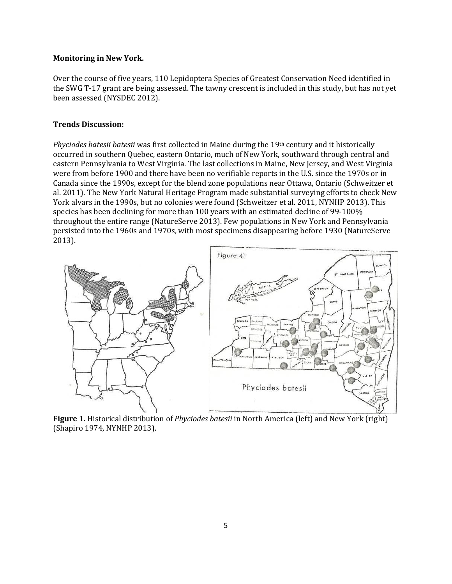#### **Monitoring in New York.**

Over the course of five years, 110 Lepidoptera Species of Greatest Conservation Need identified in the SWG T-17 grant are being assessed. The tawny crescent is included in this study, but has not yet been assessed (NYSDEC 2012).

#### **Trends Discussion:**

*Phyciodes batesii batesii* was first collected in Maine during the 19th century and it historically occurred in southern Quebec, eastern Ontario, much of New York, southward through central and eastern Pennsylvania to West Virginia. The last collections in Maine, New Jersey, and West Virginia were from before 1900 and there have been no verifiable reports in the U.S. since the 1970s or in Canada since the 1990s, except for the blend zone populations near Ottawa, Ontario (Schweitzer et al. 2011). The New York Natural Heritage Program made substantial surveying efforts to check New York alvars in the 1990s, but no colonies were found (Schweitzer et al. 2011, NYNHP 2013). This species has been declining for more than 100 years with an estimated decline of 99-100% throughout the entire range (NatureServe 2013). Few populations in New York and Pennsylvania persisted into the 1960s and 1970s, with most specimens disappearing before 1930 (NatureServe 2013).



**Figure 1.** Historical distribution of *Phyciodes batesii* in North America (left) and New York (right) (Shapiro 1974, NYNHP 2013).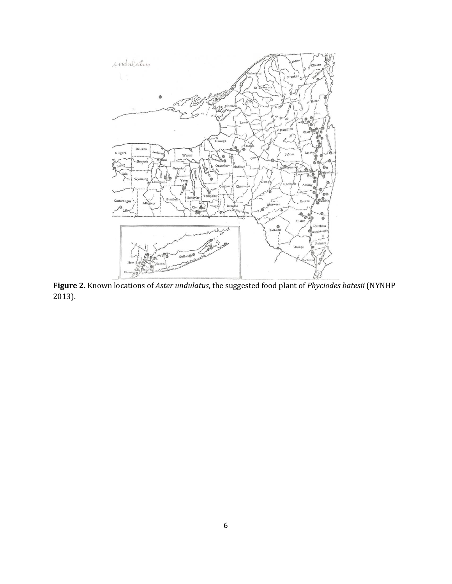

**Figure 2.** Known locations of *Aster undulatus*, the suggested food plant of *Phyciodes batesii* (NYNHP 2013).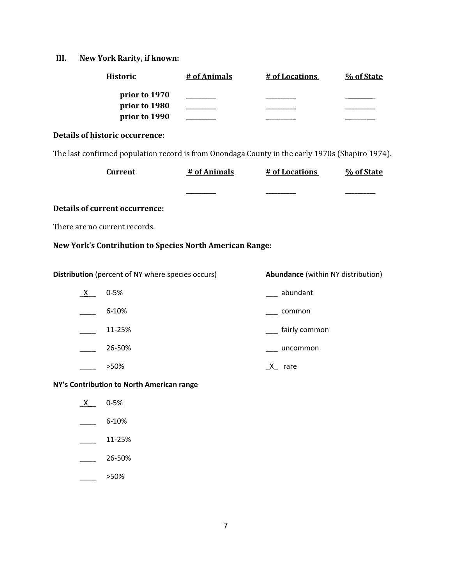# **III. New York Rarity, if known:**

| <b>Historic</b>                                                                                 | # of Animals | # of Locations                            | % of State |
|-------------------------------------------------------------------------------------------------|--------------|-------------------------------------------|------------|
| prior to 1970<br>prior to 1980<br>prior to 1990                                                 |              |                                           |            |
| <b>Details of historic occurrence:</b>                                                          |              |                                           |            |
| The last confirmed population record is from Onondaga County in the early 1970s (Shapiro 1974). |              |                                           |            |
| <b>Current</b>                                                                                  | # of Animals | # of Locations                            | % of State |
|                                                                                                 |              |                                           |            |
| <b>Details of current occurrence:</b>                                                           |              |                                           |            |
| There are no current records.                                                                   |              |                                           |            |
| New York's Contribution to Species North American Range:                                        |              |                                           |            |
| Distribution (percent of NY where species occurs)                                               |              | <b>Abundance</b> (within NY distribution) |            |
| $0 - 5%$<br>$X_{-}$                                                                             |              | abundant                                  |            |
| 6-10%                                                                                           |              | common                                    |            |
| 11-25%                                                                                          |              | fairly common                             |            |
| 26-50%                                                                                          |              | uncommon                                  |            |
| >50%                                                                                            |              | $X$ rare                                  |            |
| NY's Contribution to North American range                                                       |              |                                           |            |
| $0 - 5%$<br>X —                                                                                 |              |                                           |            |
| 6-10%                                                                                           |              |                                           |            |

- $\frac{11-25\%}{2}$
- $\frac{26-50\%}{26}$
- \_\_\_\_ >50%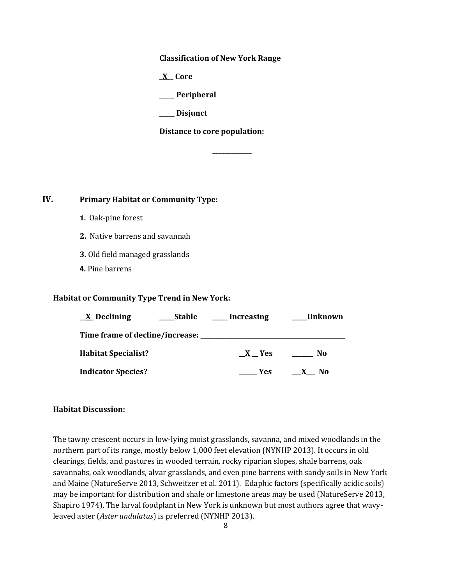**Classification of New York Range**

**\_X\_\_ Core**

**\_\_\_\_\_ Peripheral**

**\_\_\_\_\_ Disjunct**

**Distance to core population:**

**\_\_\_\_\_\_\_\_\_\_\_\_\_**

**IV. Primary Habitat or Community Type:** 

- **1.** Oak-pine forest
- **2.** Native barrens and savannah
- **3.** Old field managed grasslands
- **4.** Pine barrens

#### **Habitat or Community Type Trend in New York:**

| $\underline{X}$ Declining           | <b>Stable</b> | <b>Increasing</b> | Unknown |
|-------------------------------------|---------------|-------------------|---------|
| Time frame of decline/increase: ___ |               |                   |         |
| <b>Habitat Specialist?</b>          |               | X Yes             | No      |
| <b>Indicator Species?</b>           |               | Yes               | No.     |

#### **Habitat Discussion:**

The tawny crescent occurs in low-lying moist grasslands, savanna, and mixed woodlands in the northern part of its range, mostly below 1,000 feet elevation (NYNHP 2013). It occurs in old clearings, fields, and pastures in wooded terrain, rocky riparian slopes, shale barrens, oak savannahs, oak woodlands, alvar grasslands, and even pine barrens with sandy soils in New York and Maine (NatureServe 2013, Schweitzer et al. 2011). Edaphic factors (specifically acidic soils) may be important for distribution and shale or limestone areas may be used (NatureServe 2013, Shapiro 1974). The larval foodplant in New York is unknown but most authors agree that wavyleaved aster (*Aster undulatus*) is preferred (NYNHP 2013).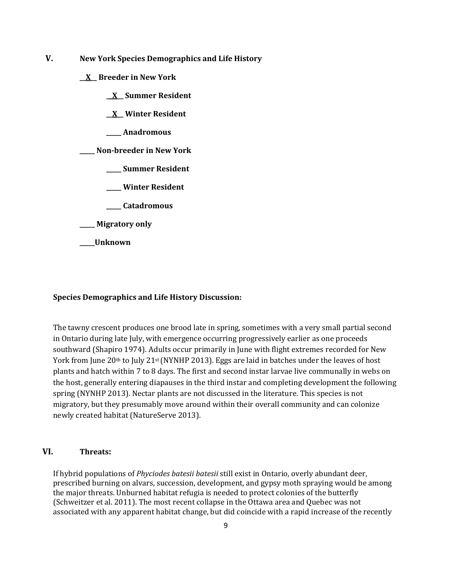- **V. New York Species Demographics and Life History**
	- **\_\_X\_\_ Breeder in New York**
		- **\_\_X\_\_ Summer Resident**
		- **\_\_X\_\_ Winter Resident**
		- **\_\_\_\_\_ Anadromous**

**\_\_\_\_\_ Non-breeder in New York**

- **\_\_\_\_\_ Summer Resident**
- **\_\_\_\_\_ Winter Resident**
- **\_\_\_\_\_ Catadromous**
- **\_\_\_\_\_ Migratory only**
- **\_\_\_\_\_Unknown**

#### **Species Demographics and Life History Discussion:**

The tawny crescent produces one brood late in spring, sometimes with a very small partial second in Ontario during late July, with emergence occurring progressively earlier as one proceeds southward (Shapiro 1974). Adults occur primarily in June with flight extremes recorded for New York from June 20<sup>th</sup> to July 21<sup>st</sup> (NYNHP 2013). Eggs are laid in batches under the leaves of host plants and hatch within 7 to 8 days. The first and second instar larvae live communally in webs on the host, generally entering diapauses in the third instar and completing development the following spring (NYNHP 2013). Nectar plants are not discussed in the literature. This species is not migratory, but they presumably move around within their overall community and can colonize newly created habitat (NatureServe 2013).

## **VI. Threats:**

If hybrid populations of *Phyciodes batesii batesii* still exist in Ontario, overly abundant deer, prescribed burning on alvars, succession, development, and gypsy moth spraying would be among the major threats. Unburned habitat refugia is needed to protect colonies of the butterfly (Schweitzer et al. 2011). The most recent collapse in the Ottawa area and Quebec was not associated with any apparent habitat change, but did coincide with a rapid increase of the recently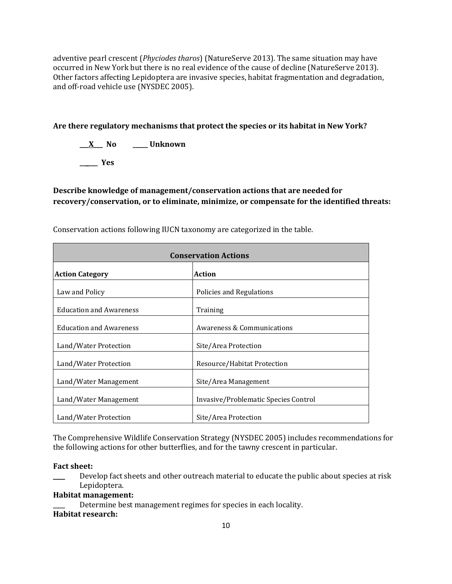adventive pearl crescent (*Phyciodes tharos*) (NatureServe 2013)*.* The same situation may have occurred in New York but there is no real evidence of the cause of decline (NatureServe 2013). Other factors affecting Lepidoptera are invasive species, habitat fragmentation and degradation, and off-road vehicle use (NYSDEC 2005).

**Are there regulatory mechanisms that protect the species or its habitat in New York?**

**\_\_\_X\_\_\_ No \_\_\_\_\_ Unknown**

**\_\_\_\_\_\_ Yes** 

**Describe knowledge of management/conservation actions that are needed for recovery/conservation, or to eliminate, minimize, or compensate for the identified threats:**

| <b>Conservation Actions</b>    |                                      |  |
|--------------------------------|--------------------------------------|--|
| <b>Action Category</b>         | <b>Action</b>                        |  |
| Law and Policy                 | Policies and Regulations             |  |
| <b>Education and Awareness</b> | Training                             |  |
| <b>Education and Awareness</b> | Awareness & Communications           |  |
| Land/Water Protection          | Site/Area Protection                 |  |
| Land/Water Protection          | Resource/Habitat Protection          |  |
| Land/Water Management          | Site/Area Management                 |  |
| Land/Water Management          | Invasive/Problematic Species Control |  |
| Land/Water Protection          | Site/Area Protection                 |  |

Conservation actions following IUCN taxonomy are categorized in the table.

The Comprehensive Wildlife Conservation Strategy (NYSDEC 2005) includes recommendations for the following actions for other butterflies, and for the tawny crescent in particular.

#### **Fact sheet:**

Develop fact sheets and other outreach material to educate the public about species at risk Lepidoptera.

## **Habitat management:**

Determine best management regimes for species in each locality. **Habitat research:**